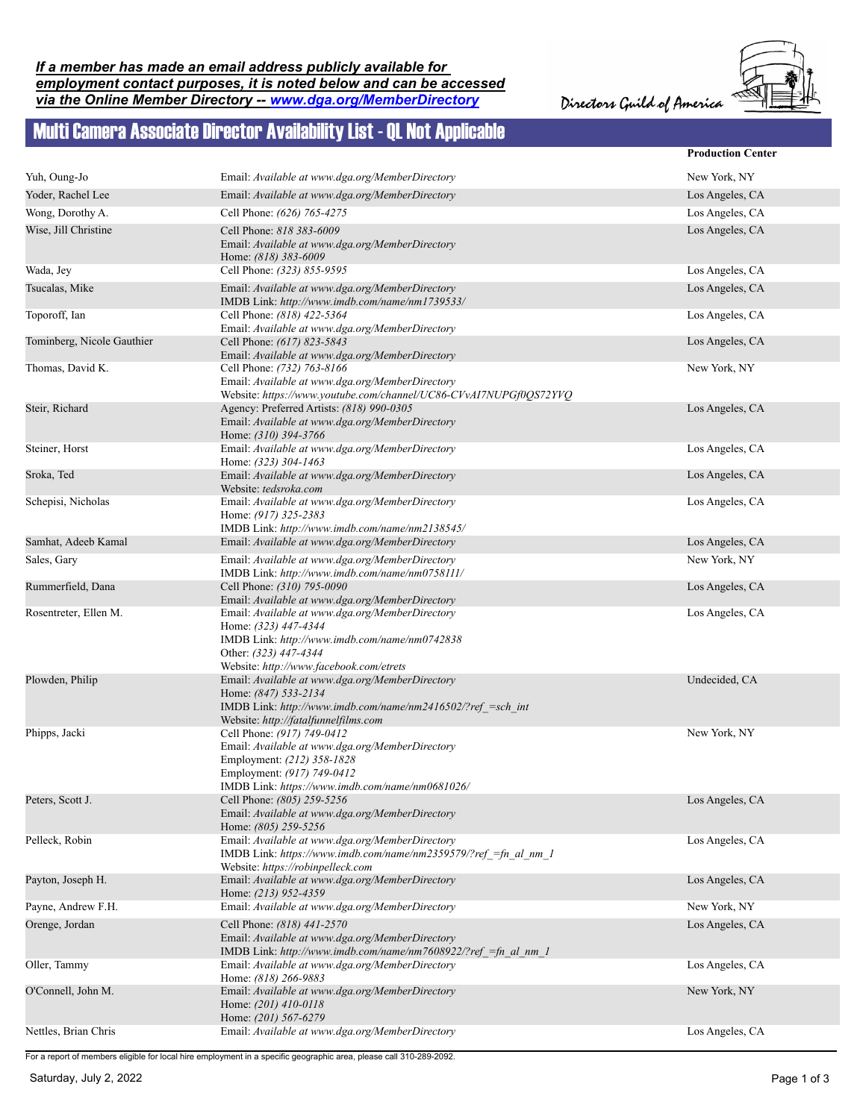Directors Guild of America



## Multi Camera Associate Director Availability List - QL Not Applicable

|                            |                                                                                                                                                                                              | <b>Production Center</b> |
|----------------------------|----------------------------------------------------------------------------------------------------------------------------------------------------------------------------------------------|--------------------------|
| Yuh, Oung-Jo               | Email: Available at www.dga.org/MemberDirectory                                                                                                                                              | New York, NY             |
| Yoder, Rachel Lee          | Email: Available at www.dga.org/MemberDirectory                                                                                                                                              | Los Angeles, CA          |
| Wong, Dorothy A.           | Cell Phone: (626) 765-4275                                                                                                                                                                   | Los Angeles, CA          |
| Wise, Jill Christine       | Cell Phone: 818 383-6009                                                                                                                                                                     | Los Angeles, CA          |
|                            | Email: Available at www.dga.org/MemberDirectory<br>Home: (818) 383-6009                                                                                                                      |                          |
| Wada, Jey                  | Cell Phone: (323) 855-9595                                                                                                                                                                   | Los Angeles, CA          |
| Tsucalas, Mike             | Email: Available at www.dga.org/MemberDirectory<br>IMDB Link: http://www.imdb.com/name/nm1739533/                                                                                            | Los Angeles, CA          |
| Toporoff, Ian              | Cell Phone: (818) 422-5364<br>Email: Available at www.dga.org/MemberDirectory                                                                                                                | Los Angeles, CA          |
| Tominberg, Nicole Gauthier | Cell Phone: (617) 823-5843<br>Email: Available at www.dga.org/MemberDirectory                                                                                                                | Los Angeles, CA          |
| Thomas, David K.           | Cell Phone: (732) 763-8166<br>Email: Available at www.dga.org/MemberDirectory<br>Website: https://www.youtube.com/channel/UC86-CVvAI7NUPGf0QS72YVQ                                           | New York, NY             |
| Steir, Richard             | Agency: Preferred Artists: (818) 990-0305<br>Email: Available at www.dga.org/MemberDirectory<br>Home: (310) 394-3766                                                                         | Los Angeles, CA          |
| Steiner, Horst             | Email: Available at www.dga.org/MemberDirectory<br>Home: (323) 304-1463                                                                                                                      | Los Angeles, CA          |
| Sroka, Ted                 | Email: Available at www.dga.org/MemberDirectory<br>Website: tedsroka.com                                                                                                                     | Los Angeles, CA          |
| Schepisi, Nicholas         | Email: Available at www.dga.org/MemberDirectory<br>Home: (917) 325-2383<br>IMDB Link: http://www.imdb.com/name/nm2138545/                                                                    | Los Angeles, CA          |
| Samhat, Adeeb Kamal        | Email: Available at www.dga.org/MemberDirectory                                                                                                                                              | Los Angeles, CA          |
| Sales, Gary                | Email: Available at www.dga.org/MemberDirectory<br>IMDB Link: http://www.imdb.com/name/nm0758111/                                                                                            | New York, NY             |
| Rummerfield, Dana          | Cell Phone: (310) 795-0090<br>Email: Available at www.dga.org/MemberDirectory                                                                                                                | Los Angeles, CA          |
| Rosentreter, Ellen M.      | Email: Available at www.dga.org/MemberDirectory<br>Home: (323) 447-4344<br>IMDB Link: http://www.imdb.com/name/nm0742838<br>Other: (323) 447-4344<br>Website: http://www.facebook.com/etrets | Los Angeles, CA          |
| Plowden, Philip            | Email: Available at www.dga.org/MemberDirectory<br>Home: (847) 533-2134<br>IMDB Link: http://www.imdb.com/name/nm2416502/?ref =sch int<br>Website: http://fatalfunnelfilms.com               | Undecided, CA            |
| Phipps, Jacki              | Cell Phone: (917) 749-0412<br>Email: Available at www.dga.org/MemberDirectory<br>Employment: (212) 358-1828<br>Employment: (917) 749-0412<br>IMDB Link: https://www.imdb.com/name/nm0681026/ | New York, NY             |
| Peters, Scott J.           | Cell Phone: (805) 259-5256<br>Email: Available at www.dga.org/MemberDirectory<br>Home: (805) 259-5256                                                                                        | Los Angeles, CA          |
| Pelleck, Robin             | Email: Available at www.dga.org/MemberDirectory<br>IMDB Link: https://www.imdb.com/name/nm2359579/?ref =fn al nm 1<br>Website: https://robinpelleck.com                                      | Los Angeles, CA          |
| Payton, Joseph H.          | Email: Available at www.dga.org/MemberDirectory<br>Home: (213) 952-4359                                                                                                                      | Los Angeles, CA          |
| Payne, Andrew F.H.         | Email: Available at www.dga.org/MemberDirectory                                                                                                                                              | New York, NY             |
| Orenge, Jordan             | Cell Phone: (818) 441-2570<br>Email: Available at www.dga.org/MemberDirectory<br>IMDB Link: http://www.imdb.com/name/nm7608922/?ref = fn al nm 1                                             | Los Angeles, CA          |
| Oller, Tammy               | Email: Available at www.dga.org/MemberDirectory<br>Home: (818) 266-9883                                                                                                                      | Los Angeles, CA          |
| O'Connell, John M.         | Email: Available at www.dga.org/MemberDirectory<br>Home: (201) 410-0118<br>Home: (201) 567-6279                                                                                              | New York, NY             |
| Nettles, Brian Chris       | Email: Available at www.dga.org/MemberDirectory                                                                                                                                              | Los Angeles, CA          |

For a report of members eligible for local hire employment in a specific geographic area, please call 310-289-2092.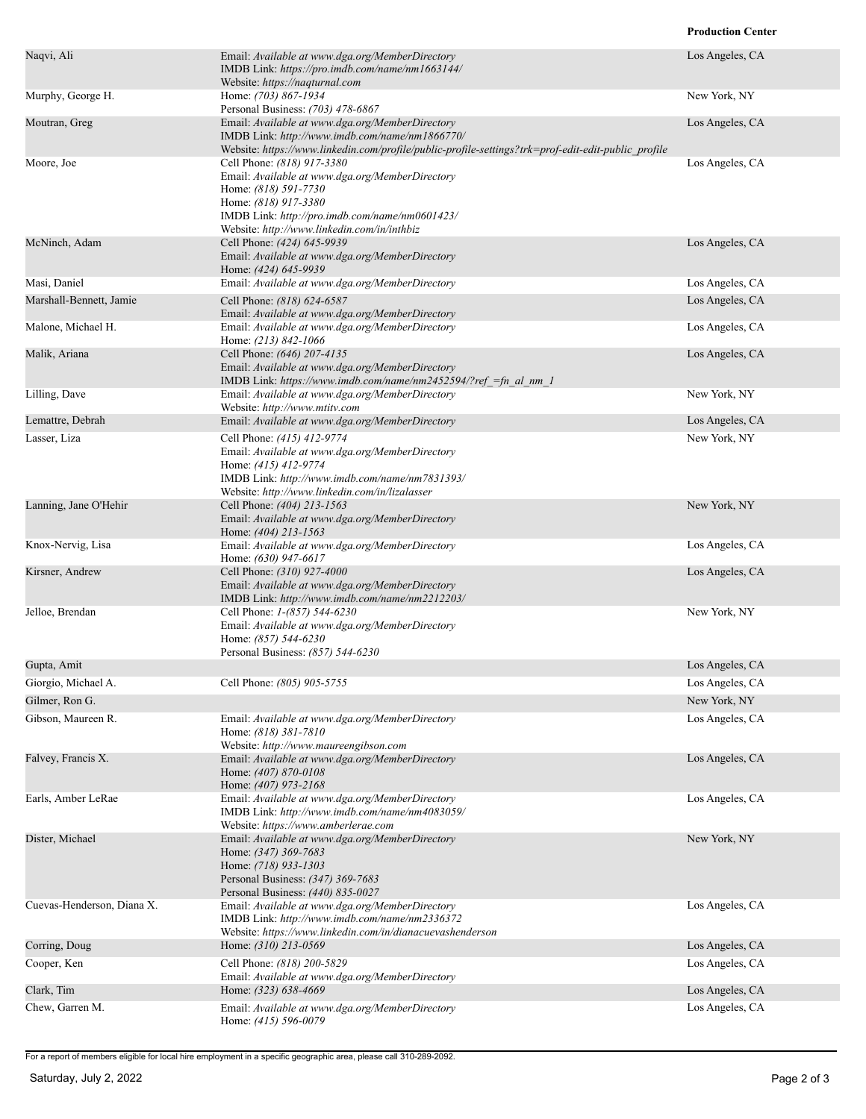## **Production Center**

| Naqvi, Ali                 | Email: Available at www.dga.org/MemberDirectory<br>IMDB Link: https://pro.imdb.com/name/nm1663144/<br>Website: https://naqturnal.com                                                                                           | Los Angeles, CA |
|----------------------------|--------------------------------------------------------------------------------------------------------------------------------------------------------------------------------------------------------------------------------|-----------------|
| Murphy, George H.          | Home: (703) 867-1934<br>Personal Business: (703) 478-6867                                                                                                                                                                      | New York, NY    |
| Moutran, Greg              | Email: Available at www.dga.org/MemberDirectory<br>IMDB Link: http://www.imdb.com/name/nm1866770/<br>Website: https://www.linkedin.com/profile/public-profile-settings?trk=prof-edit-edit-public_profile                       | Los Angeles, CA |
| Moore, Joe                 | Cell Phone: (818) 917-3380<br>Email: Available at www.dga.org/MemberDirectory<br>Home: (818) 591-7730<br>Home: (818) 917-3380<br>IMDB Link: http://pro.imdb.com/name/nm0601423/<br>Website: http://www.linkedin.com/in/inthbiz | Los Angeles, CA |
| McNinch, Adam              | Cell Phone: (424) 645-9939<br>Email: Available at www.dga.org/MemberDirectory<br>Home: (424) 645-9939                                                                                                                          | Los Angeles, CA |
| Masi, Daniel               | Email: Available at www.dga.org/MemberDirectory                                                                                                                                                                                | Los Angeles, CA |
| Marshall-Bennett, Jamie    | Cell Phone: (818) 624-6587<br>Email: Available at www.dga.org/MemberDirectory                                                                                                                                                  | Los Angeles, CA |
| Malone, Michael H.         | Email: Available at www.dga.org/MemberDirectory<br>Home: (213) 842-1066                                                                                                                                                        | Los Angeles, CA |
| Malik, Ariana              | Cell Phone: (646) 207-4135<br>Email: Available at www.dga.org/MemberDirectory<br>IMDB Link: https://www.imdb.com/name/nm2452594/?ref =fn al nm 1                                                                               | Los Angeles, CA |
| Lilling, Dave              | Email: Available at www.dga.org/MemberDirectory<br>Website: http://www.mtitv.com                                                                                                                                               | New York, NY    |
| Lemattre, Debrah           | Email: Available at www.dga.org/MemberDirectory                                                                                                                                                                                | Los Angeles, CA |
| Lasser, Liza               | Cell Phone: (415) 412-9774<br>Email: Available at www.dga.org/MemberDirectory<br>Home: (415) 412-9774<br>IMDB Link: http://www.imdb.com/name/nm7831393/<br>Website: http://www.linkedin.com/in/lizalasser                      | New York, NY    |
| Lanning, Jane O'Hehir      | Cell Phone: (404) 213-1563<br>Email: Available at www.dga.org/MemberDirectory<br>Home: (404) 213-1563                                                                                                                          | New York, NY    |
| Knox-Nervig, Lisa          | Email: Available at www.dga.org/MemberDirectory<br>Home: (630) 947-6617                                                                                                                                                        | Los Angeles, CA |
| Kirsner, Andrew            | Cell Phone: (310) 927-4000<br>Email: Available at www.dga.org/MemberDirectory<br>IMDB Link: http://www.imdb.com/name/nm2212203/                                                                                                | Los Angeles, CA |
| Jelloe, Brendan            | Cell Phone: 1-(857) 544-6230<br>Email: Available at www.dga.org/MemberDirectory<br>Home: (857) 544-6230<br>Personal Business: (857) 544-6230                                                                                   | New York, NY    |
| Gupta, Amit                |                                                                                                                                                                                                                                | Los Angeles, CA |
| Giorgio, Michael A.        | Cell Phone: (805) 905-5755                                                                                                                                                                                                     | Los Angeles, CA |
| Gilmer, Ron G.             |                                                                                                                                                                                                                                | New York, NY    |
| Gibson, Maureen R.         | Email: Available at www.dga.org/MemberDirectory<br>Home: (818) 381-7810<br>Website: http://www.maureengibson.com                                                                                                               | Los Angeles, CA |
| Falvey, Francis X.         | Email: Available at www.dga.org/MemberDirectory<br>Home: (407) 870-0108<br>Home: (407) 973-2168                                                                                                                                | Los Angeles, CA |
| Earls, Amber LeRae         | Email: Available at www.dga.org/MemberDirectory<br>IMDB Link: http://www.imdb.com/name/nm4083059/<br>Website: https://www.amberlerae.com                                                                                       | Los Angeles, CA |
| Dister, Michael            | Email: Available at www.dga.org/MemberDirectory<br>Home: (347) 369-7683<br>Home: (718) 933-1303<br>Personal Business: (347) 369-7683<br>Personal Business: (440) 835-0027                                                      | New York, NY    |
| Cuevas-Henderson, Diana X. | Email: Available at www.dga.org/MemberDirectory<br>IMDB Link: http://www.imdb.com/name/nm2336372<br>Website: https://www.linkedin.com/in/dianacuevashenderson                                                                  | Los Angeles, CA |
| Corring, Doug              | Home: (310) 213-0569                                                                                                                                                                                                           | Los Angeles, CA |
| Cooper, Ken                | Cell Phone: (818) 200-5829<br>Email: Available at www.dga.org/MemberDirectory                                                                                                                                                  | Los Angeles, CA |
| Clark, Tim                 | Home: (323) 638-4669                                                                                                                                                                                                           | Los Angeles, CA |
| Chew, Garren M.            | Email: Available at www.dga.org/MemberDirectory<br>Home: (415) 596-0079                                                                                                                                                        | Los Angeles, CA |

For a report of members eligible for local hire employment in a specific geographic area, please call 310-289-2092.